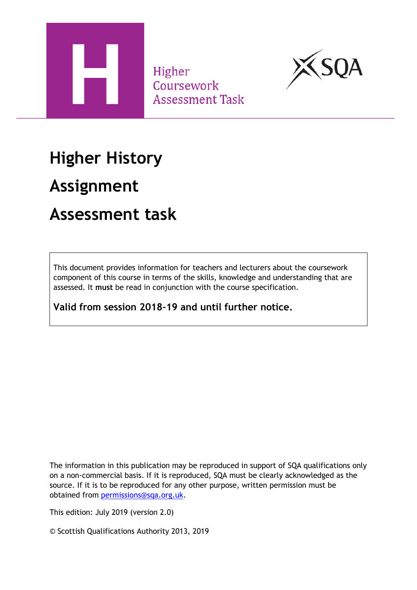

Higher Coursework **Assessment Task** 



## **Higher History**

## **Assignment**

## **Assessment task**

This document provides information for teachers and lecturers about the coursework component of this course in terms of the skills, knowledge and understanding that are assessed. It **must** be read in conjunction with the course specification.

**Valid from session 2018–19 and until further notice.** 

The information in this publication may be reproduced in support of SQA qualifications only on a non-commercial basis. If it is reproduced, SQA must be clearly acknowledged as the source. If it is to be reproduced for any other purpose, written permission must be obtained from [permissions@sqa.org.uk.](mailto:permissions@sqa.org.uk)

This edition: July 2019 (version 2.0)

© Scottish Qualifications Authority 2013, 2019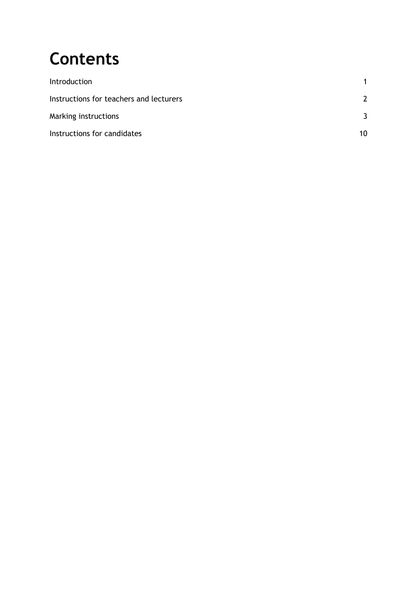# **Contents**

| Introduction                            |    |
|-----------------------------------------|----|
| Instructions for teachers and lecturers |    |
| Marking instructions                    |    |
| Instructions for candidates             | 10 |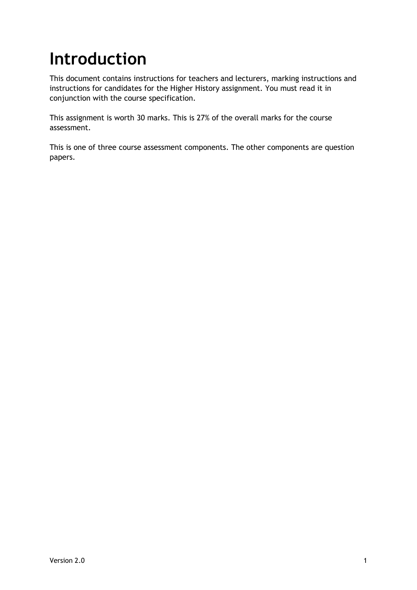# <span id="page-2-0"></span>**Introduction**

This document contains instructions for teachers and lecturers, marking instructions and instructions for candidates for the Higher History assignment. You must read it in conjunction with the course specification.

This assignment is worth 30 marks. This is 27% of the overall marks for the course assessment.

This is one of three course assessment components. The other components are question papers.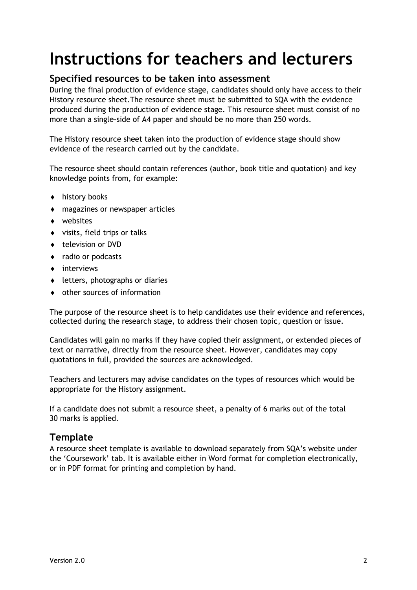## <span id="page-3-0"></span>**Instructions for teachers and lecturers**

#### **Specified resources to be taken into assessment**

During the final production of evidence stage, candidates should only have access to their History resource sheet.The resource sheet must be submitted to SQA with the evidence produced during the production of evidence stage. This resource sheet must consist of no more than a single-side of A4 paper and should be no more than 250 words.

The History resource sheet taken into the production of evidence stage should show evidence of the research carried out by the candidate.

The resource sheet should contain references (author, book title and quotation) and key knowledge points from, for example:

- ◆ history books
- magazines or newspaper articles
- websites
- visits, field trips or talks
- ◆ television or DVD
- ◆ radio or podcasts
- $\bullet$  interviews
- letters, photographs or diaries
- other sources of information

The purpose of the resource sheet is to help candidates use their evidence and references, collected during the research stage, to address their chosen topic, question or issue.

Candidates will gain no marks if they have copied their assignment, or extended pieces of text or narrative, directly from the resource sheet. However, candidates may copy quotations in full, provided the sources are acknowledged.

Teachers and lecturers may advise candidates on the types of resources which would be appropriate for the History assignment.

If a candidate does not submit a resource sheet, a penalty of 6 marks out of the total 30 marks is applied.

#### **Template**

A resource sheet template is available to download separately from SQA's website under the 'Coursework' tab. It is available either in Word format for completion electronically, or in PDF format for printing and completion by hand.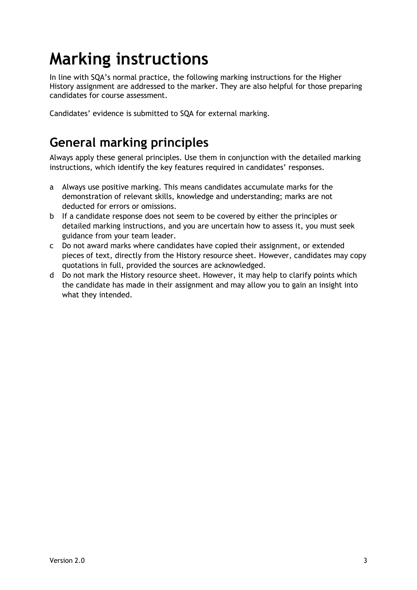# <span id="page-4-0"></span>**Marking instructions**

In line with SQA's normal practice, the following marking instructions for the Higher History assignment are addressed to the marker. They are also helpful for those preparing candidates for course assessment.

Candidates' evidence is submitted to SQA for external marking.

#### **General marking principles**

Always apply these general principles. Use them in conjunction with the detailed marking instructions, which identify the key features required in candidates' responses.

- a Always use positive marking. This means candidates accumulate marks for the demonstration of relevant skills, knowledge and understanding; marks are not deducted for errors or omissions.
- b If a candidate response does not seem to be covered by either the principles or detailed marking instructions, and you are uncertain how to assess it, you must seek guidance from your team leader.
- c Do not award marks where candidates have copied their assignment, or extended pieces of text, directly from the History resource sheet. However, candidates may copy quotations in full, provided the sources are acknowledged.
- d Do not mark the History resource sheet. However, it may help to clarify points which the candidate has made in their assignment and may allow you to gain an insight into what they intended.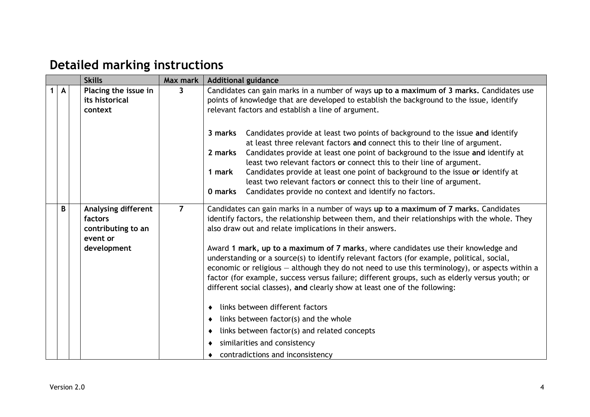#### **Detailed marking instructions**

|  |   | <b>Skills</b>                                                                          | Max mark       | <b>Additional guidance</b>                                                                                                                                                                                                                                                                                                                                                                                                                                                                                                                                                                                                                                                                                                                                                                                                                                                                                                         |
|--|---|----------------------------------------------------------------------------------------|----------------|------------------------------------------------------------------------------------------------------------------------------------------------------------------------------------------------------------------------------------------------------------------------------------------------------------------------------------------------------------------------------------------------------------------------------------------------------------------------------------------------------------------------------------------------------------------------------------------------------------------------------------------------------------------------------------------------------------------------------------------------------------------------------------------------------------------------------------------------------------------------------------------------------------------------------------|
|  | A | Placing the issue in<br>its historical<br>context                                      | $\mathbf{3}$   | Candidates can gain marks in a number of ways up to a maximum of 3 marks. Candidates use<br>points of knowledge that are developed to establish the background to the issue, identify<br>relevant factors and establish a line of argument.<br>Candidates provide at least two points of background to the issue and identify<br>3 marks<br>at least three relevant factors and connect this to their line of argument.<br>Candidates provide at least one point of background to the issue and identify at<br>2 marks<br>least two relevant factors or connect this to their line of argument.<br>Candidates provide at least one point of background to the issue or identify at<br>1 mark<br>least two relevant factors or connect this to their line of argument.<br>Candidates provide no context and identify no factors.<br>0 marks                                                                                         |
|  | B | <b>Analysing different</b><br>factors<br>contributing to an<br>event or<br>development | $\overline{7}$ | Candidates can gain marks in a number of ways up to a maximum of 7 marks. Candidates<br>identify factors, the relationship between them, and their relationships with the whole. They<br>also draw out and relate implications in their answers.<br>Award 1 mark, up to a maximum of 7 marks, where candidates use their knowledge and<br>understanding or a source(s) to identify relevant factors (for example, political, social,<br>economic or religious - although they do not need to use this terminology), or aspects within a<br>factor (for example, success versus failure; different groups, such as elderly versus youth; or<br>different social classes), and clearly show at least one of the following:<br>links between different factors<br>links between factor(s) and the whole<br>٠<br>links between factor(s) and related concepts<br>٠<br>similarities and consistency<br>contradictions and inconsistency |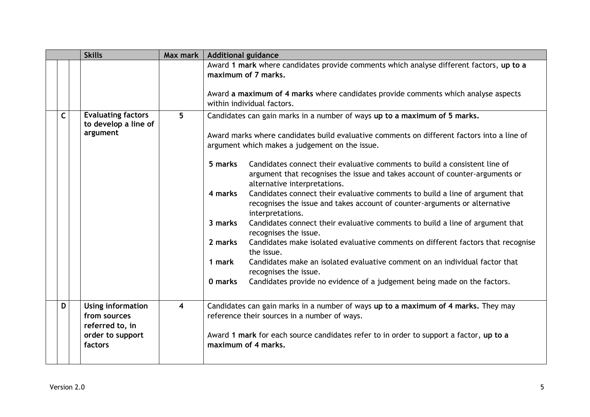|              |  | <b>Skills</b>                                                                       | Max mark                | <b>Additional guidance</b>                                                                                                                                                                                                                                                                                                                                                                                                                                                                                                                                                                                                                                                                                                                                                                                                                                                                                                                                                                                                                                                  |  |  |  |  |  |
|--------------|--|-------------------------------------------------------------------------------------|-------------------------|-----------------------------------------------------------------------------------------------------------------------------------------------------------------------------------------------------------------------------------------------------------------------------------------------------------------------------------------------------------------------------------------------------------------------------------------------------------------------------------------------------------------------------------------------------------------------------------------------------------------------------------------------------------------------------------------------------------------------------------------------------------------------------------------------------------------------------------------------------------------------------------------------------------------------------------------------------------------------------------------------------------------------------------------------------------------------------|--|--|--|--|--|
|              |  |                                                                                     |                         | Award 1 mark where candidates provide comments which analyse different factors, up to a<br>maximum of 7 marks.<br>Award a maximum of 4 marks where candidates provide comments which analyse aspects<br>within individual factors.                                                                                                                                                                                                                                                                                                                                                                                                                                                                                                                                                                                                                                                                                                                                                                                                                                          |  |  |  |  |  |
| $\mathsf{C}$ |  | <b>Evaluating factors</b><br>to develop a line of<br>argument                       | 5                       | Candidates can gain marks in a number of ways up to a maximum of 5 marks.<br>Award marks where candidates build evaluative comments on different factors into a line of<br>argument which makes a judgement on the issue.<br>5 marks<br>Candidates connect their evaluative comments to build a consistent line of<br>argument that recognises the issue and takes account of counter-arguments or<br>alternative interpretations.<br>4 marks<br>Candidates connect their evaluative comments to build a line of argument that<br>recognises the issue and takes account of counter-arguments or alternative<br>interpretations.<br>3 marks<br>Candidates connect their evaluative comments to build a line of argument that<br>recognises the issue.<br>2 marks<br>Candidates make isolated evaluative comments on different factors that recognise<br>the issue.<br>Candidates make an isolated evaluative comment on an individual factor that<br>1 mark<br>recognises the issue.<br>Candidates provide no evidence of a judgement being made on the factors.<br>0 marks |  |  |  |  |  |
| D            |  | Using information<br>from sources<br>referred to, in<br>order to support<br>factors | $\overline{\mathbf{4}}$ | Candidates can gain marks in a number of ways up to a maximum of 4 marks. They may<br>reference their sources in a number of ways.<br>Award 1 mark for each source candidates refer to in order to support a factor, up to a<br>maximum of 4 marks.                                                                                                                                                                                                                                                                                                                                                                                                                                                                                                                                                                                                                                                                                                                                                                                                                         |  |  |  |  |  |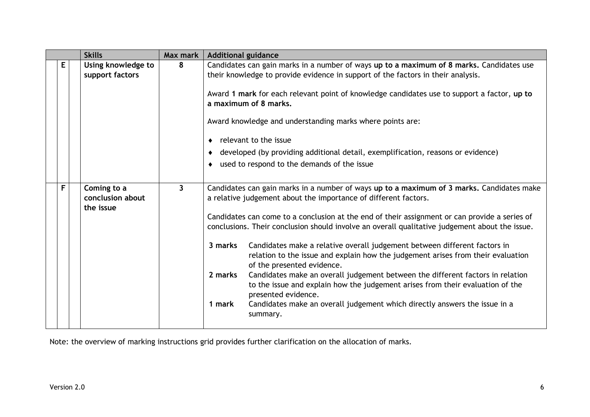|  |   | <b>Skills</b>                                | Max mark     | <b>Additional guidance</b>                                                                                                                                                                             |
|--|---|----------------------------------------------|--------------|--------------------------------------------------------------------------------------------------------------------------------------------------------------------------------------------------------|
|  | E | Using knowledge to<br>support factors        | 8            | Candidates can gain marks in a number of ways up to a maximum of 8 marks. Candidates use<br>their knowledge to provide evidence in support of the factors in their analysis.                           |
|  |   |                                              |              | Award 1 mark for each relevant point of knowledge candidates use to support a factor, up to<br>a maximum of 8 marks.                                                                                   |
|  |   |                                              |              | Award knowledge and understanding marks where points are:<br>relevant to the issue<br>٠                                                                                                                |
|  |   |                                              |              | developed (by providing additional detail, exemplification, reasons or evidence)                                                                                                                       |
|  |   |                                              |              | used to respond to the demands of the issue<br>٠                                                                                                                                                       |
|  |   |                                              |              |                                                                                                                                                                                                        |
|  | F | Coming to a<br>conclusion about<br>the issue | $\mathbf{3}$ | Candidates can gain marks in a number of ways up to a maximum of 3 marks. Candidates make<br>a relative judgement about the importance of different factors.                                           |
|  |   |                                              |              | Candidates can come to a conclusion at the end of their assignment or can provide a series of<br>conclusions. Their conclusion should involve an overall qualitative judgement about the issue.        |
|  |   |                                              |              | Candidates make a relative overall judgement between different factors in<br>3 marks<br>relation to the issue and explain how the judgement arises from their evaluation<br>of the presented evidence. |
|  |   |                                              |              | Candidates make an overall judgement between the different factors in relation<br>2 marks<br>to the issue and explain how the judgement arises from their evaluation of the<br>presented evidence.     |
|  |   |                                              |              | Candidates make an overall judgement which directly answers the issue in a<br>1 mark<br>summary.                                                                                                       |

Note: the overview of marking instructions grid provides further clarification on the allocation of marks.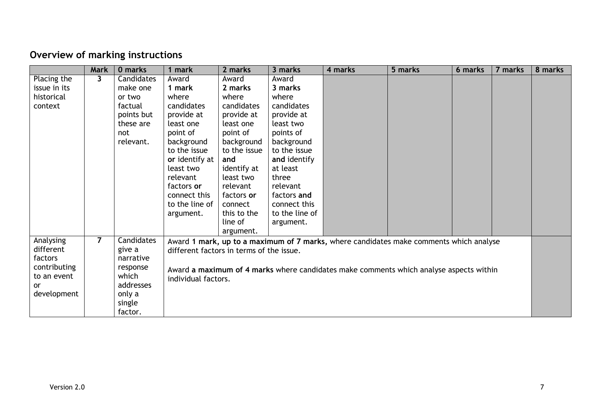#### **Overview of marking instructions**

|              | <b>Mark</b>    | 0 marks    | 1 mark                                   | 2 marks                                                                                                       | 3 marks        | 4 marks                                                                                | 5 marks | 6 marks | 7 marks | 8 marks |
|--------------|----------------|------------|------------------------------------------|---------------------------------------------------------------------------------------------------------------|----------------|----------------------------------------------------------------------------------------|---------|---------|---------|---------|
| Placing the  | 3              | Candidates | Award                                    | Award                                                                                                         | Award          |                                                                                        |         |         |         |         |
| issue in its |                | make one   | 1 mark                                   | 2 marks                                                                                                       | 3 marks        |                                                                                        |         |         |         |         |
| historical   |                | or two     | where                                    | where                                                                                                         | where          |                                                                                        |         |         |         |         |
| context      |                | factual    | candidates                               | candidates                                                                                                    | candidates     |                                                                                        |         |         |         |         |
|              |                | points but | provide at                               | provide at                                                                                                    | provide at     |                                                                                        |         |         |         |         |
|              |                | these are  | least one                                | least one                                                                                                     | least two      |                                                                                        |         |         |         |         |
|              |                | not        | point of                                 | point of                                                                                                      | points of      |                                                                                        |         |         |         |         |
|              |                | relevant.  | background                               | background                                                                                                    | background     |                                                                                        |         |         |         |         |
|              |                |            | to the issue                             | to the issue                                                                                                  | to the issue   |                                                                                        |         |         |         |         |
|              |                |            | or identify at                           | and                                                                                                           | and identify   |                                                                                        |         |         |         |         |
|              |                |            | least two                                | identify at                                                                                                   | at least       |                                                                                        |         |         |         |         |
|              |                |            | relevant                                 | least two                                                                                                     | three          |                                                                                        |         |         |         |         |
|              |                |            | factors or                               | relevant                                                                                                      | relevant       |                                                                                        |         |         |         |         |
|              |                |            | connect this                             | factors or                                                                                                    | factors and    |                                                                                        |         |         |         |         |
|              |                |            | to the line of                           | connect                                                                                                       | connect this   |                                                                                        |         |         |         |         |
|              |                |            | argument.                                | this to the                                                                                                   | to the line of |                                                                                        |         |         |         |         |
|              |                |            |                                          | line of                                                                                                       | argument.      |                                                                                        |         |         |         |         |
|              |                |            |                                          | argument.                                                                                                     |                |                                                                                        |         |         |         |         |
| Analysing    | $\overline{7}$ | Candidates |                                          |                                                                                                               |                | Award 1 mark, up to a maximum of 7 marks, where candidates make comments which analyse |         |         |         |         |
| different    |                | give a     | different factors in terms of the issue. |                                                                                                               |                |                                                                                        |         |         |         |         |
| factors      |                | narrative  |                                          |                                                                                                               |                |                                                                                        |         |         |         |         |
| contributing |                | response   |                                          |                                                                                                               |                |                                                                                        |         |         |         |         |
| to an event  |                | which      |                                          | Award a maximum of 4 marks where candidates make comments which analyse aspects within<br>individual factors. |                |                                                                                        |         |         |         |         |
| <u>or</u>    |                | addresses  |                                          |                                                                                                               |                |                                                                                        |         |         |         |         |
| development  |                | only a     |                                          |                                                                                                               |                |                                                                                        |         |         |         |         |
|              |                | single     |                                          |                                                                                                               |                |                                                                                        |         |         |         |         |
|              |                | factor.    |                                          |                                                                                                               |                |                                                                                        |         |         |         |         |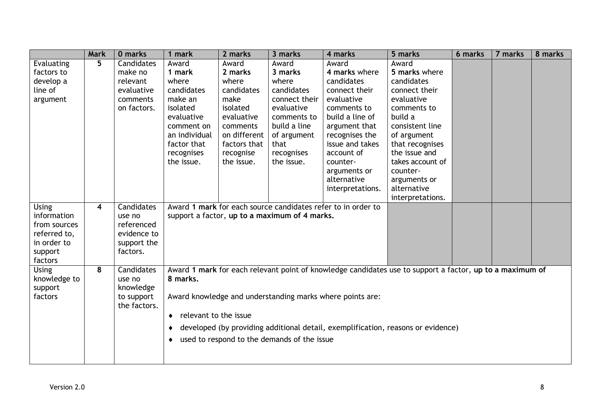|                             | <b>Mark</b> | 0 marks              | mark                       | 2 marks      | 3 marks                                       | 4 marks                                                                                                  | 5 marks          | 6 marks | 7 marks | 8 marks |
|-----------------------------|-------------|----------------------|----------------------------|--------------|-----------------------------------------------|----------------------------------------------------------------------------------------------------------|------------------|---------|---------|---------|
| Evaluating                  | 5           | Candidates           | Award                      | Award        | Award                                         | Award                                                                                                    | Award            |         |         |         |
| factors to                  |             | make no              | 1 mark                     | 2 marks      | 3 marks                                       | 4 marks where                                                                                            | 5 marks where    |         |         |         |
| develop a                   |             | relevant             | where                      | where        | where                                         | candidates                                                                                               | candidates       |         |         |         |
| line of                     |             | evaluative           | candidates                 | candidates   | candidates                                    | connect their                                                                                            | connect their    |         |         |         |
| argument                    |             | comments             | make an                    | make         | connect their                                 | evaluative                                                                                               | evaluative       |         |         |         |
|                             |             | on factors.          | isolated                   | isolated     | evaluative                                    | comments to                                                                                              | comments to      |         |         |         |
|                             |             |                      | evaluative                 | evaluative   | comments to                                   | build a line of                                                                                          | build a          |         |         |         |
|                             |             |                      | comment on                 | comments     | build a line                                  | argument that                                                                                            | consistent line  |         |         |         |
|                             |             |                      | an individual              | on different | of argument                                   | recognises the                                                                                           | of argument      |         |         |         |
|                             |             |                      | factor that                | factors that | that                                          | issue and takes                                                                                          | that recognises  |         |         |         |
|                             |             |                      | recognises                 | recognise    | recognises                                    | account of                                                                                               | the issue and    |         |         |         |
|                             |             |                      | the issue.                 | the issue.   | the issue.                                    | counter-                                                                                                 | takes account of |         |         |         |
|                             |             |                      |                            |              |                                               | arguments or                                                                                             | counter-         |         |         |         |
|                             |             |                      |                            |              |                                               | alternative                                                                                              | arguments or     |         |         |         |
|                             |             |                      |                            |              |                                               | interpretations.                                                                                         | alternative      |         |         |         |
|                             |             |                      |                            |              |                                               |                                                                                                          | interpretations. |         |         |         |
| <b>Using</b><br>information | 4           | Candidates<br>use no |                            |              | support a factor, up to a maximum of 4 marks. | Award 1 mark for each source candidates refer to in order to                                             |                  |         |         |         |
| from sources                |             | referenced           |                            |              |                                               |                                                                                                          |                  |         |         |         |
| referred to,                |             | evidence to          |                            |              |                                               |                                                                                                          |                  |         |         |         |
| in order to                 |             | support the          |                            |              |                                               |                                                                                                          |                  |         |         |         |
| support                     |             | factors.             |                            |              |                                               |                                                                                                          |                  |         |         |         |
| factors                     |             |                      |                            |              |                                               |                                                                                                          |                  |         |         |         |
| <b>Using</b>                | 8           | Candidates           |                            |              |                                               | Award 1 mark for each relevant point of knowledge candidates use to support a factor, up to a maximum of |                  |         |         |         |
| knowledge to                |             | use no               | 8 marks.                   |              |                                               |                                                                                                          |                  |         |         |         |
| support                     |             | knowledge            |                            |              |                                               |                                                                                                          |                  |         |         |         |
| factors                     |             | to support           |                            |              |                                               | Award knowledge and understanding marks where points are:                                                |                  |         |         |         |
|                             |             | the factors.         |                            |              |                                               |                                                                                                          |                  |         |         |         |
|                             |             |                      | relevant to the issue<br>٠ |              |                                               |                                                                                                          |                  |         |         |         |
|                             |             |                      | ٠                          |              |                                               | developed (by providing additional detail, exemplification, reasons or evidence)                         |                  |         |         |         |
|                             |             |                      | ٠                          |              | used to respond to the demands of the issue   |                                                                                                          |                  |         |         |         |
|                             |             |                      |                            |              |                                               |                                                                                                          |                  |         |         |         |
|                             |             |                      |                            |              |                                               |                                                                                                          |                  |         |         |         |
|                             |             |                      |                            |              |                                               |                                                                                                          |                  |         |         |         |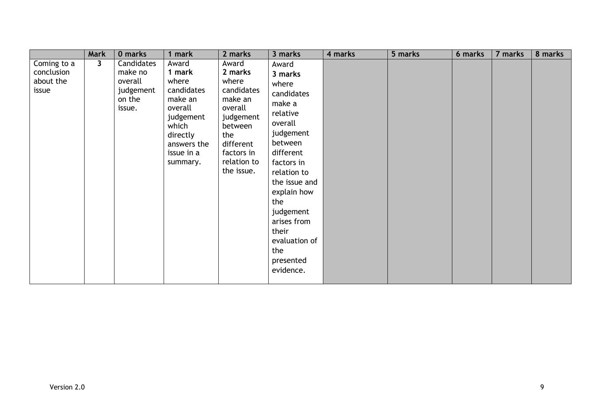|                                                 | <b>Mark</b>  | 0 marks                                                           | 1 mark                                                                                                                                  | 2 marks                                                                                                                                              | 3 marks                                                                                                                                                                                                                                                                  | 4 marks | 5 marks | 6 marks | 7 marks | 8 marks |
|-------------------------------------------------|--------------|-------------------------------------------------------------------|-----------------------------------------------------------------------------------------------------------------------------------------|------------------------------------------------------------------------------------------------------------------------------------------------------|--------------------------------------------------------------------------------------------------------------------------------------------------------------------------------------------------------------------------------------------------------------------------|---------|---------|---------|---------|---------|
| Coming to a<br>conclusion<br>about the<br>issue | $\mathbf{3}$ | Candidates<br>make no<br>overall<br>judgement<br>on the<br>issue. | Award<br>1 mark<br>where<br>candidates<br>make an<br>overall<br>judgement<br>which<br>directly<br>answers the<br>issue in a<br>summary. | Award<br>2 marks<br>where<br>candidates<br>make an<br>overall<br>judgement<br>between<br>the<br>different<br>factors in<br>relation to<br>the issue. | Award<br>3 marks<br>where<br>candidates<br>make a<br>relative<br>overall<br>judgement<br>between<br>different<br>factors in<br>relation to<br>the issue and<br>explain how<br>the<br>judgement<br>arises from<br>their<br>evaluation of<br>the<br>presented<br>evidence. |         |         |         |         |         |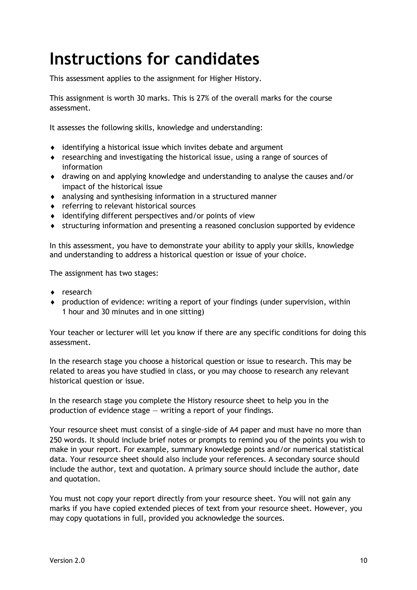## <span id="page-11-0"></span>**Instructions for candidates**

This assessment applies to the assignment for Higher History.

This assignment is worth 30 marks. This is 27% of the overall marks for the course assessment.

It assesses the following skills, knowledge and understanding:

- identifying a historical issue which invites debate and argument
- researching and investigating the historical issue, using a range of sources of information
- drawing on and applying knowledge and understanding to analyse the causes and/or impact of the historical issue
- analysing and synthesising information in a structured manner
- referring to relevant historical sources
- identifying different perspectives and/or points of view
- structuring information and presenting a reasoned conclusion supported by evidence

In this assessment, you have to demonstrate your ability to apply your skills, knowledge and understanding to address a historical question or issue of your choice.

The assignment has two stages:

- research
- production of evidence: writing a report of your findings (under supervision, within 1 hour and 30 minutes and in one sitting)

Your teacher or lecturer will let you know if there are any specific conditions for doing this assessment.

In the research stage you choose a historical question or issue to research. This may be related to areas you have studied in class, or you may choose to research any relevant historical question or issue.

In the research stage you complete the History resource sheet to help you in the production of evidence stage  $-$  writing a report of your findings.

Your resource sheet must consist of a single-side of A4 paper and must have no more than 250 words. It should include brief notes or prompts to remind you of the points you wish to make in your report. For example, summary knowledge points and/or numerical statistical data. Your resource sheet should also include your references. A secondary source should include the author, text and quotation. A primary source should include the author, date and quotation.

You must not copy your report directly from your resource sheet. You will not gain any marks if you have copied extended pieces of text from your resource sheet. However, you may copy quotations in full, provided you acknowledge the sources.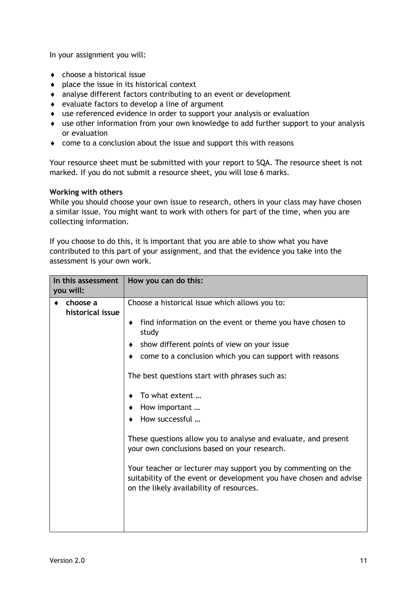In your assignment you will:

- choose a historical issue
- $\bullet$  place the issue in its historical context
- analyse different factors contributing to an event or development
- evaluate factors to develop a line of argument
- use referenced evidence in order to support your analysis or evaluation
- use other information from your own knowledge to add further support to your analysis or evaluation
- come to a conclusion about the issue and support this with reasons

Your resource sheet must be submitted with your report to SQA. The resource sheet is not marked. If you do not submit a resource sheet, you will lose 6 marks.

#### **Working with others**

While you should choose your own issue to research, others in your class may have chosen a similar issue. You might want to work with others for part of the time, when you are collecting information.

If you choose to do this, it is important that you are able to show what you have contributed to this part of your assignment, and that the evidence you take into the assessment is your own work.

| In this assessment<br>you will: |  | How you can do this:                                                                                                                                                            |
|---------------------------------|--|---------------------------------------------------------------------------------------------------------------------------------------------------------------------------------|
| choose a<br>historical issue    |  | Choose a historical issue which allows you to:                                                                                                                                  |
|                                 |  | find information on the event or theme you have chosen to<br>study                                                                                                              |
|                                 |  | show different points of view on your issue                                                                                                                                     |
|                                 |  | come to a conclusion which you can support with reasons                                                                                                                         |
|                                 |  | The best questions start with phrases such as:                                                                                                                                  |
|                                 |  | To what extent                                                                                                                                                                  |
|                                 |  | How important                                                                                                                                                                   |
|                                 |  | How successful                                                                                                                                                                  |
|                                 |  | These questions allow you to analyse and evaluate, and present<br>your own conclusions based on your research.                                                                  |
|                                 |  | Your teacher or lecturer may support you by commenting on the<br>suitability of the event or development you have chosen and advise<br>on the likely availability of resources. |
|                                 |  |                                                                                                                                                                                 |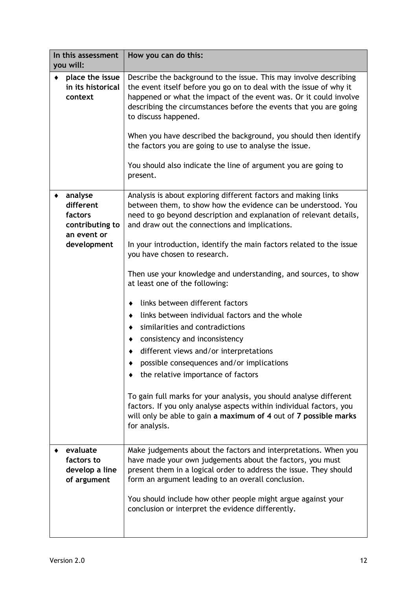| In this assessment<br>you will:                                                  | How you can do this:                                                                                                                                                                                                                                                                                                                                                                                                                                                                                                                                                                                                                                                                                                                                                                                                                                                                                                                                                                                   |
|----------------------------------------------------------------------------------|--------------------------------------------------------------------------------------------------------------------------------------------------------------------------------------------------------------------------------------------------------------------------------------------------------------------------------------------------------------------------------------------------------------------------------------------------------------------------------------------------------------------------------------------------------------------------------------------------------------------------------------------------------------------------------------------------------------------------------------------------------------------------------------------------------------------------------------------------------------------------------------------------------------------------------------------------------------------------------------------------------|
| place the issue<br>in its historical<br>context                                  | Describe the background to the issue. This may involve describing<br>the event itself before you go on to deal with the issue of why it<br>happened or what the impact of the event was. Or it could involve<br>describing the circumstances before the events that you are going<br>to discuss happened.<br>When you have described the background, you should then identify<br>the factors you are going to use to analyse the issue.<br>You should also indicate the line of argument you are going to<br>present.                                                                                                                                                                                                                                                                                                                                                                                                                                                                                  |
| analyse<br>different<br>factors<br>contributing to<br>an event or<br>development | Analysis is about exploring different factors and making links<br>between them, to show how the evidence can be understood. You<br>need to go beyond description and explanation of relevant details,<br>and draw out the connections and implications.<br>In your introduction, identify the main factors related to the issue<br>you have chosen to research.<br>Then use your knowledge and understanding, and sources, to show<br>at least one of the following:<br>links between different factors<br>links between individual factors and the whole<br>٠<br>similarities and contradictions<br>٠<br>consistency and inconsistency<br>different views and/or interpretations<br>possible consequences and/or implications<br>the relative importance of factors<br>To gain full marks for your analysis, you should analyse different<br>factors. If you only analyse aspects within individual factors, you<br>will only be able to gain a maximum of 4 out of 7 possible marks<br>for analysis. |
| evaluate<br>factors to<br>develop a line<br>of argument                          | Make judgements about the factors and interpretations. When you<br>have made your own judgements about the factors, you must<br>present them in a logical order to address the issue. They should<br>form an argument leading to an overall conclusion.<br>You should include how other people might argue against your<br>conclusion or interpret the evidence differently.                                                                                                                                                                                                                                                                                                                                                                                                                                                                                                                                                                                                                           |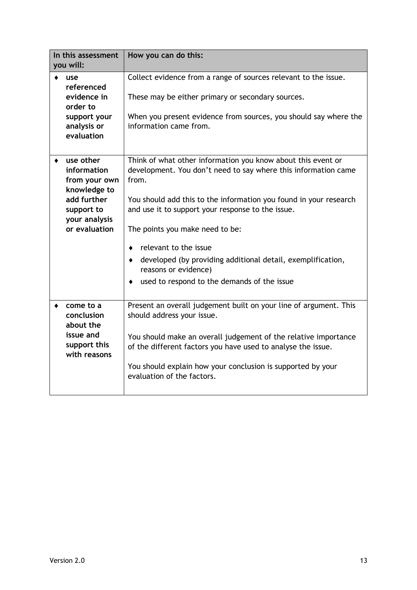| In this assessment<br>you will:                                                                                          | How you can do this:                                                                                                                                                                                                                                                                                                                                                                                                                                                     |
|--------------------------------------------------------------------------------------------------------------------------|--------------------------------------------------------------------------------------------------------------------------------------------------------------------------------------------------------------------------------------------------------------------------------------------------------------------------------------------------------------------------------------------------------------------------------------------------------------------------|
| use<br>referenced<br>evidence in<br>order to<br>support your<br>analysis or<br>evaluation                                | Collect evidence from a range of sources relevant to the issue.<br>These may be either primary or secondary sources.<br>When you present evidence from sources, you should say where the<br>information came from.                                                                                                                                                                                                                                                       |
| use other<br>information<br>from your own<br>knowledge to<br>add further<br>support to<br>your analysis<br>or evaluation | Think of what other information you know about this event or<br>development. You don't need to say where this information came<br>from.<br>You should add this to the information you found in your research<br>and use it to support your response to the issue.<br>The points you make need to be:<br>relevant to the issue<br>developed (by providing additional detail, exemplification,<br>٠<br>reasons or evidence)<br>used to respond to the demands of the issue |
| come to a<br>conclusion<br>about the<br>issue and<br>support this<br>with reasons                                        | Present an overall judgement built on your line of argument. This<br>should address your issue.<br>You should make an overall judgement of the relative importance<br>of the different factors you have used to analyse the issue.<br>You should explain how your conclusion is supported by your<br>evaluation of the factors.                                                                                                                                          |